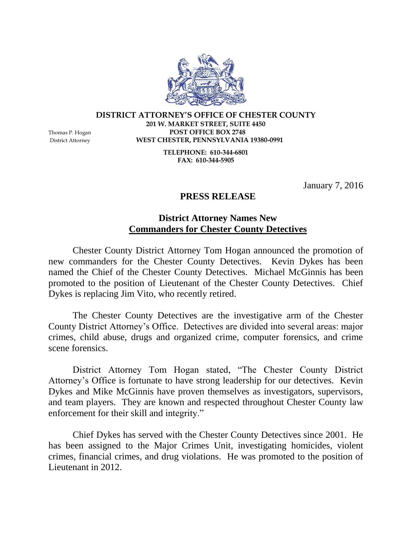**DISTRICT ATTORNEY'S OFFICE OF CHESTER COUNTY 201 W. MARKET STREET, SUITE 4450** Thomas P. Hogan **POST OFFICE BOX 2748** 

District Attorney **WEST CHESTER, PENNSYLVANIA 19380-0991**

**TELEPHONE: 610-344-6801 FAX: 610-344-5905**

January 7, 2016

## **PRESS RELEASE**

## **District Attorney Names New Commanders for Chester County Detectives**

Chester County District Attorney Tom Hogan announced the promotion of new commanders for the Chester County Detectives. Kevin Dykes has been named the Chief of the Chester County Detectives. Michael McGinnis has been promoted to the position of Lieutenant of the Chester County Detectives. Chief Dykes is replacing Jim Vito, who recently retired.

The Chester County Detectives are the investigative arm of the Chester County District Attorney's Office. Detectives are divided into several areas: major crimes, child abuse, drugs and organized crime, computer forensics, and crime scene forensics.

District Attorney Tom Hogan stated, "The Chester County District Attorney's Office is fortunate to have strong leadership for our detectives. Kevin Dykes and Mike McGinnis have proven themselves as investigators, supervisors, and team players. They are known and respected throughout Chester County law enforcement for their skill and integrity."

Chief Dykes has served with the Chester County Detectives since 2001. He has been assigned to the Major Crimes Unit, investigating homicides, violent crimes, financial crimes, and drug violations. He was promoted to the position of Lieutenant in 2012.